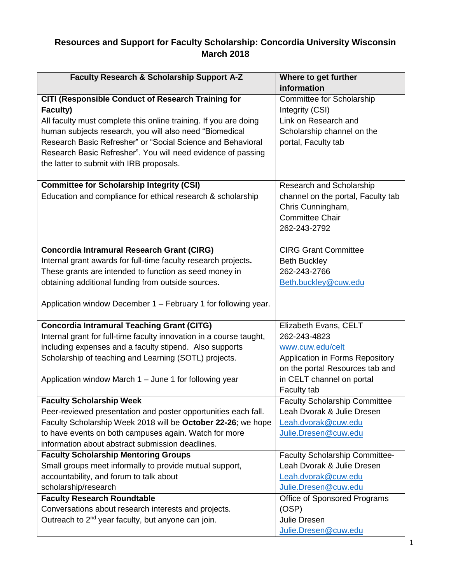## **Resources and Support for Faculty Scholarship: Concordia University Wisconsin March 2018**

| Faculty Research & Scholarship Support A-Z                          | Where to get further<br>information   |
|---------------------------------------------------------------------|---------------------------------------|
| CITI (Responsible Conduct of Research Training for                  | Committee for Scholarship             |
| Faculty)                                                            | Integrity (CSI)                       |
| All faculty must complete this online training. If you are doing    | Link on Research and                  |
| human subjects research, you will also need "Biomedical             | Scholarship channel on the            |
| Research Basic Refresher" or "Social Science and Behavioral         | portal, Faculty tab                   |
| Research Basic Refresher". You will need evidence of passing        |                                       |
| the latter to submit with IRB proposals.                            |                                       |
|                                                                     |                                       |
| <b>Committee for Scholarship Integrity (CSI)</b>                    | Research and Scholarship              |
| Education and compliance for ethical research & scholarship         | channel on the portal, Faculty tab    |
|                                                                     | Chris Cunningham,                     |
|                                                                     | <b>Committee Chair</b>                |
|                                                                     | 262-243-2792                          |
|                                                                     |                                       |
| <b>Concordia Intramural Research Grant (CIRG)</b>                   | <b>CIRG Grant Committee</b>           |
| Internal grant awards for full-time faculty research projects.      | <b>Beth Buckley</b>                   |
| These grants are intended to function as seed money in              | 262-243-2766                          |
| obtaining additional funding from outside sources.                  | Beth.buckley@cuw.edu                  |
|                                                                     |                                       |
| Application window December 1 – February 1 for following year.      |                                       |
|                                                                     |                                       |
| <b>Concordia Intramural Teaching Grant (CITG)</b>                   | Elizabeth Evans, CELT                 |
| Internal grant for full-time faculty innovation in a course taught, | 262-243-4823                          |
| including expenses and a faculty stipend. Also supports             | www.cuw.edu/celt                      |
| Scholarship of teaching and Learning (SOTL) projects.               | Application in Forms Repository       |
|                                                                     | on the portal Resources tab and       |
| Application window March 1 - June 1 for following year              | in CELT channel on portal             |
|                                                                     | Faculty tab                           |
| <b>Faculty Scholarship Week</b>                                     | <b>Faculty Scholarship Committee</b>  |
| Peer-reviewed presentation and poster opportunities each fall.      | Leah Dvorak & Julie Dresen            |
| Faculty Scholarship Week 2018 will be October 22-26; we hope        | Leah.dvorak@cuw.edu                   |
| to have events on both campuses again. Watch for more               | Julie.Dresen@cuw.edu                  |
| information about abstract submission deadlines.                    |                                       |
| <b>Faculty Scholarship Mentoring Groups</b>                         | <b>Faculty Scholarship Committee-</b> |
| Small groups meet informally to provide mutual support,             | Leah Dvorak & Julie Dresen            |
| accountability, and forum to talk about                             | Leah.dvorak@cuw.edu                   |
| scholarship/research                                                | Julie.Dresen@cuw.edu                  |
| <b>Faculty Research Roundtable</b>                                  | Office of Sponsored Programs          |
| Conversations about research interests and projects.                | (OSP)                                 |
| Outreach to 2 <sup>nd</sup> year faculty, but anyone can join.      | Julie Dresen                          |
|                                                                     | Julie.Dresen@cuw.edu                  |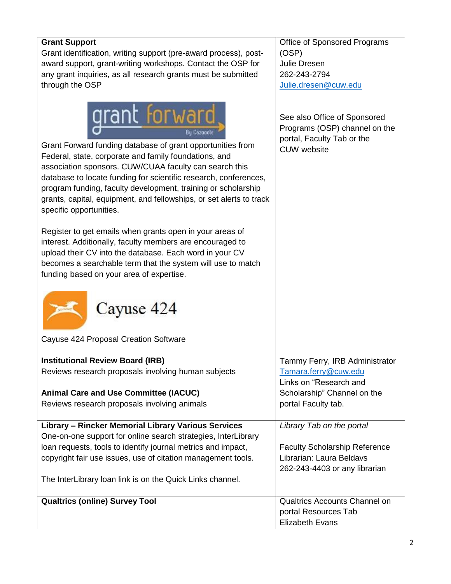| <b>Grant Support</b>                                                                                                                                                                                                                                                                                                                                                                                                                                        | Office of Sponsored Programs                                                                                      |
|-------------------------------------------------------------------------------------------------------------------------------------------------------------------------------------------------------------------------------------------------------------------------------------------------------------------------------------------------------------------------------------------------------------------------------------------------------------|-------------------------------------------------------------------------------------------------------------------|
| Grant identification, writing support (pre-award process), post-                                                                                                                                                                                                                                                                                                                                                                                            | (OSP)                                                                                                             |
| award support, grant-writing workshops. Contact the OSP for                                                                                                                                                                                                                                                                                                                                                                                                 | Julie Dresen                                                                                                      |
| any grant inquiries, as all research grants must be submitted                                                                                                                                                                                                                                                                                                                                                                                               | 262-243-2794                                                                                                      |
| through the OSP                                                                                                                                                                                                                                                                                                                                                                                                                                             | Julie.dresen@cuw.edu                                                                                              |
|                                                                                                                                                                                                                                                                                                                                                                                                                                                             |                                                                                                                   |
| <b>grant forward</b><br>Bu Cazoodla<br>Grant Forward funding database of grant opportunities from<br>Federal, state, corporate and family foundations, and<br>association sponsors. CUW/CUAA faculty can search this<br>database to locate funding for scientific research, conferences,<br>program funding, faculty development, training or scholarship<br>grants, capital, equipment, and fellowships, or set alerts to track<br>specific opportunities. | See also Office of Sponsored<br>Programs (OSP) channel on the<br>portal, Faculty Tab or the<br><b>CUW</b> website |
| Register to get emails when grants open in your areas of<br>interest. Additionally, faculty members are encouraged to<br>upload their CV into the database. Each word in your CV<br>becomes a searchable term that the system will use to match<br>funding based on your area of expertise.                                                                                                                                                                 |                                                                                                                   |
| Cayuse 424                                                                                                                                                                                                                                                                                                                                                                                                                                                  |                                                                                                                   |
| Cayuse 424 Proposal Creation Software                                                                                                                                                                                                                                                                                                                                                                                                                       |                                                                                                                   |
| <b>Institutional Review Board (IRB)</b>                                                                                                                                                                                                                                                                                                                                                                                                                     | Tammy Ferry, IRB Administrator                                                                                    |
| Reviews research proposals involving human subjects                                                                                                                                                                                                                                                                                                                                                                                                         | Tamara.ferry@cuw.edu                                                                                              |
|                                                                                                                                                                                                                                                                                                                                                                                                                                                             | Links on "Research and                                                                                            |
| <b>Animal Care and Use Committee (IACUC)</b>                                                                                                                                                                                                                                                                                                                                                                                                                | Scholarship" Channel on the                                                                                       |
| Reviews research proposals involving animals                                                                                                                                                                                                                                                                                                                                                                                                                | portal Faculty tab.                                                                                               |
|                                                                                                                                                                                                                                                                                                                                                                                                                                                             |                                                                                                                   |
| Library - Rincker Memorial Library Various Services                                                                                                                                                                                                                                                                                                                                                                                                         | Library Tab on the portal                                                                                         |
| One-on-one support for online search strategies, InterLibrary                                                                                                                                                                                                                                                                                                                                                                                               |                                                                                                                   |
| loan requests, tools to identify journal metrics and impact,                                                                                                                                                                                                                                                                                                                                                                                                | <b>Faculty Scholarship Reference</b>                                                                              |
| copyright fair use issues, use of citation management tools.                                                                                                                                                                                                                                                                                                                                                                                                | Librarian: Laura Beldavs                                                                                          |
|                                                                                                                                                                                                                                                                                                                                                                                                                                                             | 262-243-4403 or any librarian                                                                                     |
| The InterLibrary loan link is on the Quick Links channel.                                                                                                                                                                                                                                                                                                                                                                                                   |                                                                                                                   |
| <b>Qualtrics (online) Survey Tool</b>                                                                                                                                                                                                                                                                                                                                                                                                                       | <b>Qualtrics Accounts Channel on</b>                                                                              |
|                                                                                                                                                                                                                                                                                                                                                                                                                                                             | portal Resources Tab                                                                                              |
|                                                                                                                                                                                                                                                                                                                                                                                                                                                             | <b>Elizabeth Evans</b>                                                                                            |
|                                                                                                                                                                                                                                                                                                                                                                                                                                                             |                                                                                                                   |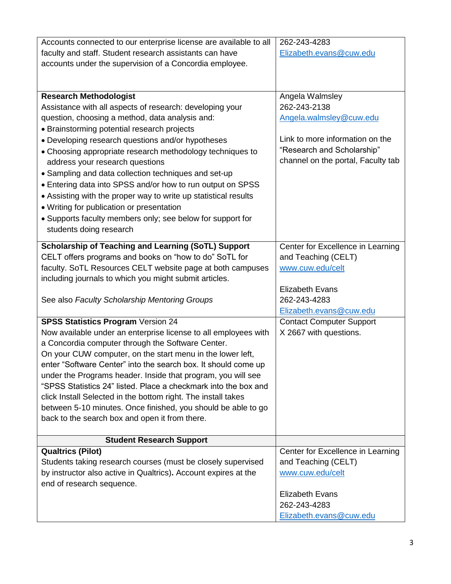| Accounts connected to our enterprise license are available to all | 262-243-4283                       |
|-------------------------------------------------------------------|------------------------------------|
| faculty and staff. Student research assistants can have           | Elizabeth.evans@cuw.edu            |
| accounts under the supervision of a Concordia employee.           |                                    |
|                                                                   |                                    |
|                                                                   |                                    |
| <b>Research Methodologist</b>                                     | Angela Walmsley                    |
| Assistance with all aspects of research: developing your          | 262-243-2138                       |
| question, choosing a method, data analysis and:                   | Angela.walmsley@cuw.edu            |
| • Brainstorming potential research projects                       |                                    |
| • Developing research questions and/or hypotheses                 | Link to more information on the    |
| • Choosing appropriate research methodology techniques to         | "Research and Scholarship"         |
| address your research questions                                   | channel on the portal, Faculty tab |
| • Sampling and data collection techniques and set-up              |                                    |
| • Entering data into SPSS and/or how to run output on SPSS        |                                    |
| • Assisting with the proper way to write up statistical results   |                                    |
| • Writing for publication or presentation                         |                                    |
| • Supports faculty members only; see below for support for        |                                    |
| students doing research                                           |                                    |
|                                                                   |                                    |
| Scholarship of Teaching and Learning (SoTL) Support               | Center for Excellence in Learning  |
| CELT offers programs and books on "how to do" SoTL for            | and Teaching (CELT)                |
| faculty. SoTL Resources CELT website page at both campuses        | www.cuw.edu/celt                   |
| including journals to which you might submit articles.            |                                    |
|                                                                   | <b>Elizabeth Evans</b>             |
| See also Faculty Scholarship Mentoring Groups                     | 262-243-4283                       |
|                                                                   | Elizabeth.evans@cuw.edu            |
| <b>SPSS Statistics Program Version 24</b>                         | <b>Contact Computer Support</b>    |
| Now available under an enterprise license to all employees with   | X 2667 with questions.             |
| a Concordia computer through the Software Center.                 |                                    |
| On your CUW computer, on the start menu in the lower left,        |                                    |
| enter "Software Center" into the search box. It should come up    |                                    |
| under the Programs header. Inside that program, you will see      |                                    |
| "SPSS Statistics 24" listed. Place a checkmark into the box and   |                                    |
| click Install Selected in the bottom right. The install takes     |                                    |
| between 5-10 minutes. Once finished, you should be able to go     |                                    |
| back to the search box and open it from there.                    |                                    |
| <b>Student Research Support</b>                                   |                                    |
| <b>Qualtrics (Pilot)</b>                                          | Center for Excellence in Learning  |
| Students taking research courses (must be closely supervised      | and Teaching (CELT)                |
| by instructor also active in Qualtrics). Account expires at the   | www.cuw.edu/celt                   |
| end of research sequence.                                         |                                    |
|                                                                   | <b>Elizabeth Evans</b>             |
|                                                                   | 262-243-4283                       |
|                                                                   | Elizabeth.evans@cuw.edu            |
|                                                                   |                                    |